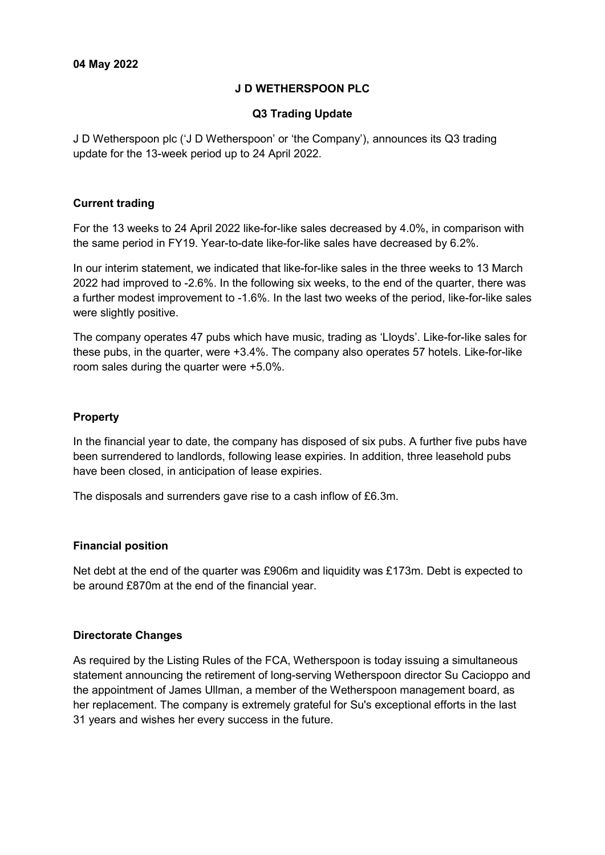# **J D WETHERSPOON PLC**

## **Q3 Trading Update**

J D Wetherspoon plc ('J D Wetherspoon' or 'the Company'), announces its Q3 trading update for the 13-week period up to 24 April 2022.

## **Current trading**

For the 13 weeks to 24 April 2022 like-for-like sales decreased by 4.0%, in comparison with the same period in FY19. Year-to-date like-for-like sales have decreased by 6.2%.

In our interim statement, we indicated that like-for-like sales in the three weeks to 13 March 2022 had improved to -2.6%. In the following six weeks, to the end of the quarter, there was a further modest improvement to -1.6%. In the last two weeks of the period, like-for-like sales were slightly positive.

The company operates 47 pubs which have music, trading as 'Lloyds'. Like-for-like sales for these pubs, in the quarter, were +3.4%. The company also operates 57 hotels. Like-for-like room sales during the quarter were +5.0%.

## **Property**

In the financial year to date, the company has disposed of six pubs. A further five pubs have been surrendered to landlords, following lease expiries. In addition, three leasehold pubs have been closed, in anticipation of lease expiries.

The disposals and surrenders gave rise to a cash inflow of £6.3m.

#### **Financial position**

Net debt at the end of the quarter was £906m and liquidity was £173m. Debt is expected to be around £870m at the end of the financial year.

#### **Directorate Changes**

As required by the Listing Rules of the FCA, Wetherspoon is today issuing a simultaneous statement announcing the retirement of long-serving Wetherspoon director Su Cacioppo and the appointment of James Ullman, a member of the Wetherspoon management board, as her replacement. The company is extremely grateful for Su's exceptional efforts in the last 31 years and wishes her every success in the future.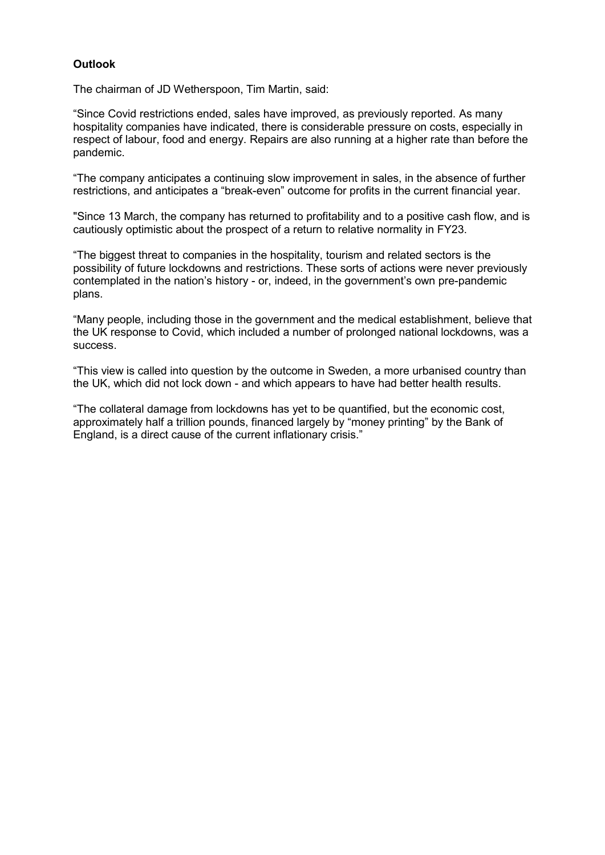# **Outlook**

The chairman of JD Wetherspoon, Tim Martin, said:

"Since Covid restrictions ended, sales have improved, as previously reported. As many hospitality companies have indicated, there is considerable pressure on costs, especially in respect of labour, food and energy. Repairs are also running at a higher rate than before the pandemic.

"The company anticipates a continuing slow improvement in sales, in the absence of further restrictions, and anticipates a "break-even" outcome for profits in the current financial year.

"Since 13 March, the company has returned to profitability and to a positive cash flow, and is cautiously optimistic about the prospect of a return to relative normality in FY23.

"The biggest threat to companies in the hospitality, tourism and related sectors is the possibility of future lockdowns and restrictions. These sorts of actions were never previously contemplated in the nation's history - or, indeed, in the government's own pre-pandemic plans.

"Many people, including those in the government and the medical establishment, believe that the UK response to Covid, which included a number of prolonged national lockdowns, was a success.

"This view is called into question by the outcome in Sweden, a more urbanised country than the UK, which did not lock down - and which appears to have had better health results.

"The collateral damage from lockdowns has yet to be quantified, but the economic cost, approximately half a trillion pounds, financed largely by "money printing" by the Bank of England, is a direct cause of the current inflationary crisis."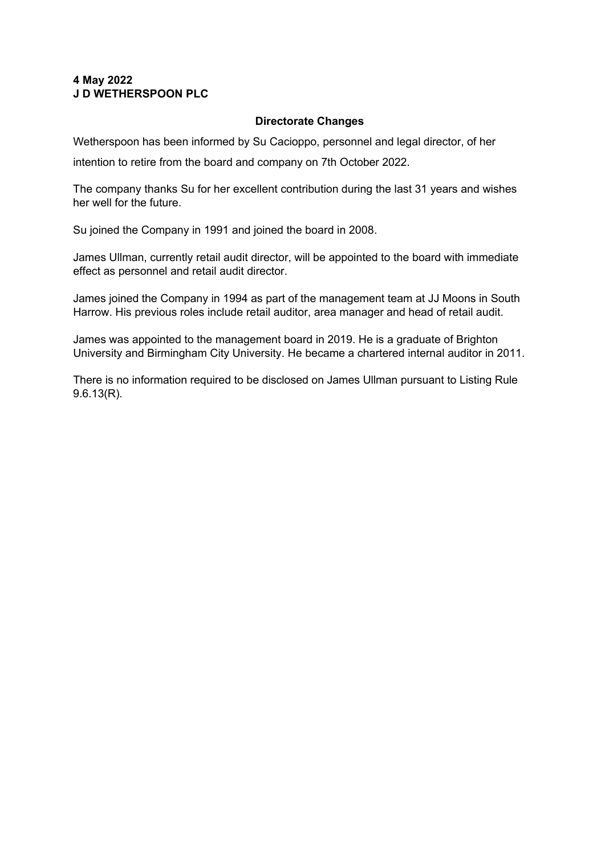# **4 May 2022 J D WETHERSPOON PLC**

# **Directorate Changes**

Wetherspoon has been informed by Su Cacioppo, personnel and legal director, of her

intention to retire from the board and company on 7th October 2022.

The company thanks Su for her excellent contribution during the last 31 years and wishes her well for the future.

Su joined the Company in 1991 and joined the board in 2008.

James Ullman, currently retail audit director, will be appointed to the board with immediate effect as personnel and retail audit director.

James joined the Company in 1994 as part of the management team at JJ Moons in South Harrow. His previous roles include retail auditor, area manager and head of retail audit.

James was appointed to the management board in 2019. He is a graduate of Brighton University and Birmingham City University. He became a chartered internal auditor in 2011.

There is no information required to be disclosed on James Ullman pursuant to Listing Rule 9.6.13(R).